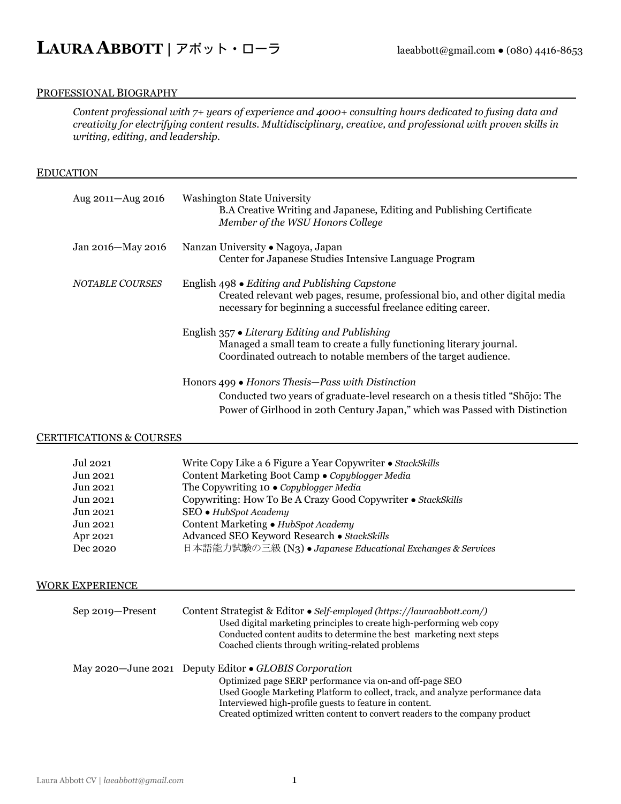#### PROFESSIONAL BIOGRAPHY

*Content professional with 7+ years of experience and 4000+ consulting hours dedicated to fusing data and creativity for electrifying content results. Multidisciplinary, creative, and professional with proven skills in writing, editing, and leadership.*

#### **EDUCATION**

| Aug 2011-Aug 2016      | <b>Washington State University</b><br>B.A Creative Writing and Japanese, Editing and Publishing Certificate<br>Member of the WSU Honors College                                                                          |
|------------------------|--------------------------------------------------------------------------------------------------------------------------------------------------------------------------------------------------------------------------|
| Jan 2016-May 2016      | Nanzan University • Nagoya, Japan<br>Center for Japanese Studies Intensive Language Program                                                                                                                              |
| <b>NOTABLE COURSES</b> | English 498 • Editing and Publishing Capstone<br>Created relevant web pages, resume, professional bio, and other digital media<br>necessary for beginning a successful freelance editing career.                         |
|                        | English $357 \bullet$ Literary Editing and Publishing<br>Managed a small team to create a fully functioning literary journal.<br>Coordinated outreach to notable members of the target audience.                         |
|                        | Honors $499 \bullet$ Honors Thesis—Pass with Distinction<br>Conducted two years of graduate-level research on a thesis titled "Shōjo: The<br>Power of Girlhood in 20th Century Japan," which was Passed with Distinction |

### CERTIFICATIONS & COURSES

| Jul 2021 | Write Copy Like a 6 Figure a Year Copywriter • StackSkills   |
|----------|--------------------------------------------------------------|
| Jun 2021 | Content Marketing Boot Camp • Copyblogger Media              |
| Jun 2021 | The Copywriting 10 $\bullet$ Copyblogger Media               |
| Jun 2021 | Copywriting: How To Be A Crazy Good Copywriter • StackSkills |
| Jun 2021 | SEO • HubSpot Academy                                        |
| Jun 2021 | Content Marketing • HubSpot Academy                          |
| Apr 2021 | Advanced SEO Keyword Research · StackSkills                  |
| Dec 2020 | 日本語能力試験の三級 (N3) • Japanese Educational Exchanges & Services  |

#### **WORK EXPERIENCE**

| Sep 2019-Present | Content Strategist & Editor • Self-employed (https://lauraabbott.com/)<br>Used digital marketing principles to create high-performing web copy<br>Conducted content audits to determine the best marketing next steps<br>Coached clients through writing-related problems                                                                   |
|------------------|---------------------------------------------------------------------------------------------------------------------------------------------------------------------------------------------------------------------------------------------------------------------------------------------------------------------------------------------|
|                  | May 2020—June 2021 Deputy Editor • GLOBIS Corporation<br>Optimized page SERP performance via on-and off-page SEO<br>Used Google Marketing Platform to collect, track, and analyze performance data<br>Interviewed high-profile guests to feature in content.<br>Created optimized written content to convert readers to the company product |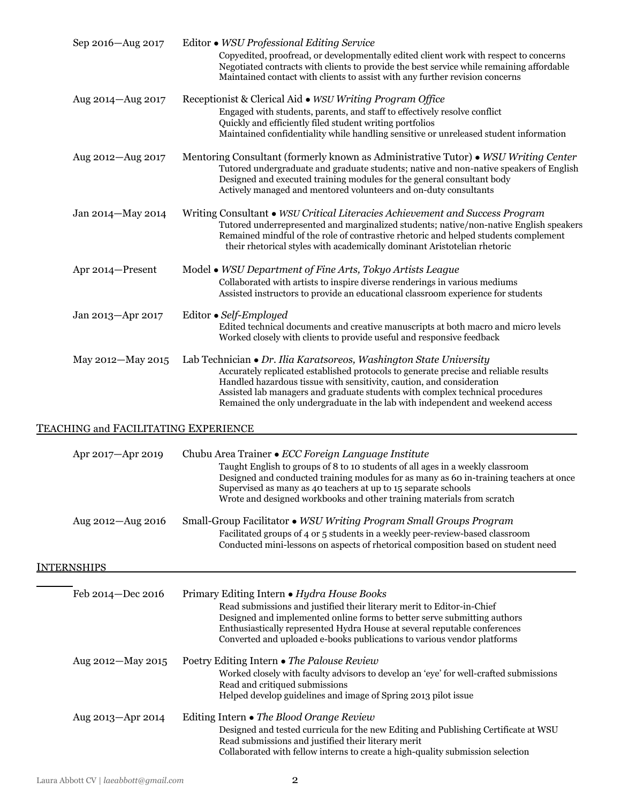| Sep 2016-Aug 2017                    | Editor • WSU Professional Editing Service<br>Copyedited, proofread, or developmentally edited client work with respect to concerns<br>Negotiated contracts with clients to provide the best service while remaining affordable<br>Maintained contact with clients to assist with any further revision concerns                                                                                         |
|--------------------------------------|--------------------------------------------------------------------------------------------------------------------------------------------------------------------------------------------------------------------------------------------------------------------------------------------------------------------------------------------------------------------------------------------------------|
| Aug 2014-Aug 2017                    | Receptionist & Clerical Aid • WSU Writing Program Office<br>Engaged with students, parents, and staff to effectively resolve conflict<br>Quickly and efficiently filed student writing portfolios<br>Maintained confidentiality while handling sensitive or unreleased student information                                                                                                             |
| Aug 2012-Aug 2017                    | Mentoring Consultant (formerly known as Administrative Tutor) • WSU Writing Center<br>Tutored undergraduate and graduate students; native and non-native speakers of English<br>Designed and executed training modules for the general consultant body<br>Actively managed and mentored volunteers and on-duty consultants                                                                             |
| Jan 2014-May 2014                    | Writing Consultant • WSU Critical Literacies Achievement and Success Program<br>Tutored underrepresented and marginalized students; native/non-native English speakers<br>Remained mindful of the role of contrastive rhetoric and helped students complement<br>their rhetorical styles with academically dominant Aristotelian rhetoric                                                              |
| Apr 2014-Present                     | Model • WSU Department of Fine Arts, Tokyo Artists League<br>Collaborated with artists to inspire diverse renderings in various mediums<br>Assisted instructors to provide an educational classroom experience for students                                                                                                                                                                            |
| Jan 2013-Apr 2017                    | Editor • Self-Employed<br>Edited technical documents and creative manuscripts at both macro and micro levels<br>Worked closely with clients to provide useful and responsive feedback                                                                                                                                                                                                                  |
| May 2012-May 2015                    | Lab Technician • Dr. Ilia Karatsoreos, Washington State University<br>Accurately replicated established protocols to generate precise and reliable results<br>Handled hazardous tissue with sensitivity, caution, and consideration<br>Assisted lab managers and graduate students with complex technical procedures<br>Remained the only undergraduate in the lab with independent and weekend access |
| TEACHING and FACILITATING EXPERIENCE |                                                                                                                                                                                                                                                                                                                                                                                                        |
| Apr 2017-Apr 2019                    | Chubu Area Trainer • ECC Foreign Language Institute<br>Taught English to groups of 8 to 10 students of all ages in a weekly classroom<br>Designed and conducted training modules for as many as 60 in-training teachers at once<br>Supervised as many as 40 teachers at up to 15 separate schools<br>Wrote and designed workbooks and other training materials from scratch                            |
| Aug 2012-Aug 2016                    | Small-Group Facilitator • WSU Writing Program Small Groups Program<br>Facilitated groups of 4 or 5 students in a weekly peer-review-based classroom<br>Conducted mini-lessons on aspects of rhetorical composition based on student need                                                                                                                                                               |
| <b>INTERNSHIPS</b>                   |                                                                                                                                                                                                                                                                                                                                                                                                        |
| Feb 2014-Dec 2016                    | Primary Editing Intern • Hydra House Books<br>Read submissions and justified their literary merit to Editor-in-Chief<br>Designed and implemented online forms to better serve submitting authors<br>Enthusiastically represented Hydra House at several reputable conferences<br>Converted and uploaded e-books publications to various vendor platforms                                               |
| Aug 2012-May 2015                    | Poetry Editing Intern • The Palouse Review<br>Worked closely with faculty advisors to develop an 'eye' for well-crafted submissions<br>Read and critiqued submissions<br>Helped develop guidelines and image of Spring 2013 pilot issue                                                                                                                                                                |
| Aug 2013-Apr 2014                    | Editing Intern • The Blood Orange Review<br>Designed and tested curricula for the new Editing and Publishing Certificate at WSU<br>Read submissions and justified their literary merit<br>Collaborated with fellow interns to create a high-quality submission selection                                                                                                                               |
|                                      |                                                                                                                                                                                                                                                                                                                                                                                                        |